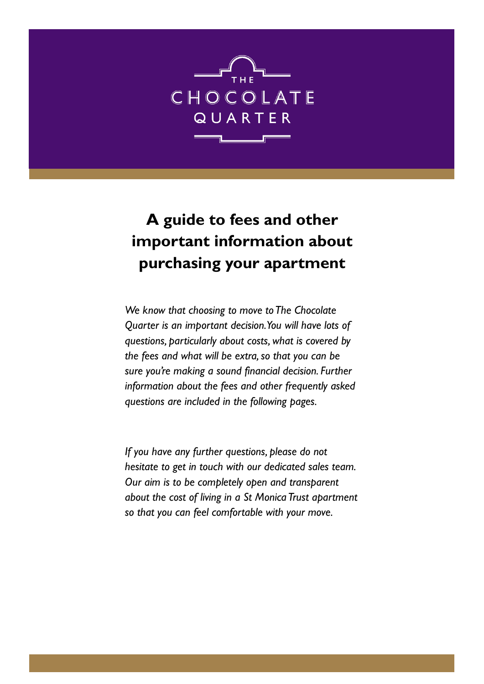

# **A guide to fees and other important information about purchasing your apartment**

*We know that choosing to move to The Chocolate Quarter is an important decision. You will have lots of questions, particularly about costs, what is covered by the fees and what will be extra, so that you can be sure you're making a sound financial decision. Further information about the fees and other frequently asked questions are included in the following pages.*

*If you have any further questions, please do not hesitate to get in touch with our dedicated sales team. Our aim is to be completely open and transparent about the cost of living in a St Monica Trust apartment so that you can feel comfortable with your move.*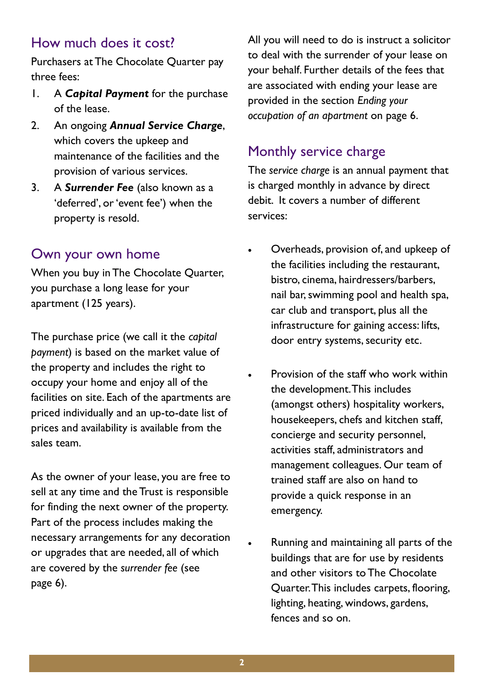#### How much does it cost?

Purchasers at The Chocolate Quarter pay three fees:

- 1. A *Capital Payment* for the purchase of the lease.
- 2. An ongoing *Annual Service Charge*, which covers the upkeep and maintenance of the facilities and the provision of various services.
- 3. A *Surrender Fee* (also known as a 'deferred', or 'event fee') when the property is resold.

#### Own your own home

When you buy in The Chocolate Quarter, you purchase a long lease for your apartment (125 years).

The purchase price (we call it the *capital payment*) is based on the market value of the property and includes the right to occupy your home and enjoy all of the facilities on site. Each of the apartments are priced individually and an up-to-date list of prices and availability is available from the sales team.

As the owner of your lease, you are free to sell at any time and the Trust is responsible for finding the next owner of the property. Part of the process includes making the necessary arrangements for any decoration or upgrades that are needed, all of which are covered by the *surrender fee* (see page 6).

All you will need to do is instruct a solicitor to deal with the surrender of your lease on your behalf. Further details of the fees that are associated with ending your lease are provided in the section *Ending your occupation of an apartment* on page 6.

### Monthly service charge

The *service charge* is an annual payment that is charged monthly in advance by direct debit. It covers a number of different services:

- Overheads, provision of, and upkeep of the facilities including the restaurant, bistro, cinema, hairdressers/barbers, nail bar, swimming pool and health spa, car club and transport, plus all the infrastructure for gaining access: lifts, door entry systems, security etc.
- Provision of the staff who work within the development. This includes (amongst others) hospitality workers, housekeepers, chefs and kitchen staff, concierge and security personnel, activities staff, administrators and management colleagues. Our team of trained staff are also on hand to provide a quick response in an emergency.
- Running and maintaining all parts of the buildings that are for use by residents and other visitors to The Chocolate Quarter. This includes carpets, flooring, lighting, heating, windows, gardens, fences and so on.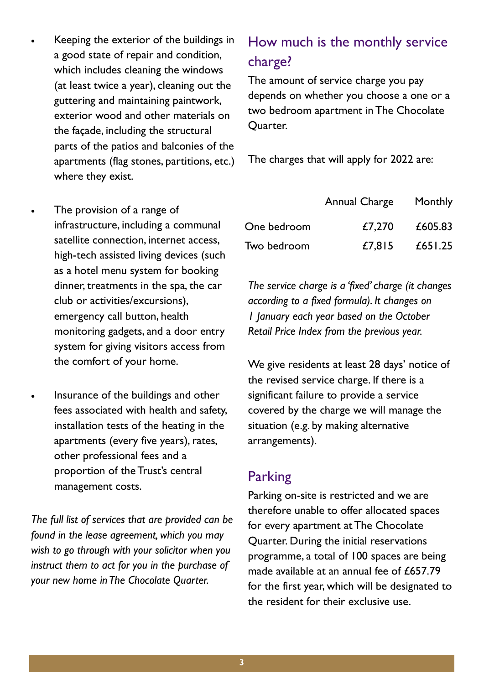- Keeping the exterior of the buildings in a good state of repair and condition, which includes cleaning the windows (at least twice a year), cleaning out the guttering and maintaining paintwork, exterior wood and other materials on the façade, including the structural parts of the patios and balconies of the apartments (flag stones, partitions, etc.) where they exist.
- The provision of a range of infrastructure, including a communal satellite connection, internet access, high-tech assisted living devices (such as a hotel menu system for booking dinner, treatments in the spa, the car club or activities/excursions), emergency call button, health monitoring gadgets, and a door entry system for giving visitors access from the comfort of your home.
- Insurance of the buildings and other fees associated with health and safety, installation tests of the heating in the apartments (every five years), rates, other professional fees and a proportion of the Trust's central management costs.

*The full list of services that are provided can be found in the lease agreement, which you may wish to go through with your solicitor when you instruct them to act for you in the purchase of your new home in The Chocolate Quarter.* 

# How much is the monthly service charge?

The amount of service charge you pay depends on whether you choose a one or a two bedroom apartment in The Chocolate Quarter.

The charges that will apply for 2022 are:

|             | Annual Charge | Monthly |  |  |
|-------------|---------------|---------|--|--|
| One bedroom | £7,270        | £605.83 |  |  |
| Two bedroom | £7,815        | £651.25 |  |  |

*The service charge is a 'fixed' charge (it changes according to a fixed formula). It changes on 1 January each year based on the October Retail Price Index from the previous year.* 

We give residents at least 28 days' notice of the revised service charge. If there is a significant failure to provide a service covered by the charge we will manage the situation (e.g. by making alternative arrangements).

#### **Parking**

Parking on-site is restricted and we are therefore unable to offer allocated spaces for every apartment at The Chocolate Quarter. During the initial reservations programme, a total of 100 spaces are being made available at an annual fee of £657.79 for the first year, which will be designated to the resident for their exclusive use.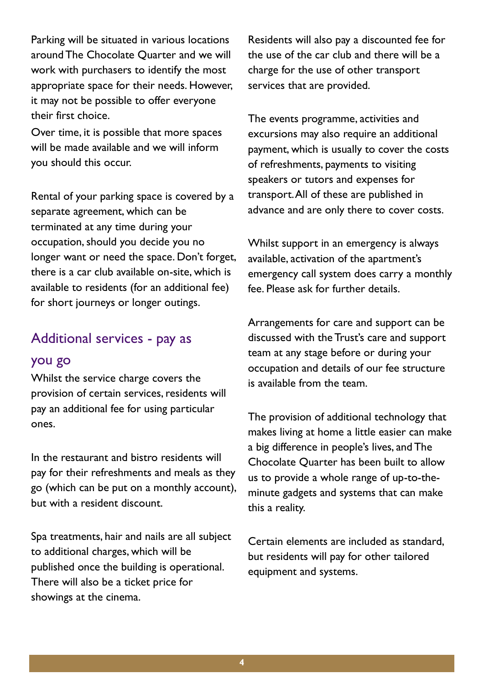Parking will be situated in various locations around The Chocolate Quarter and we will work with purchasers to identify the most appropriate space for their needs. However, it may not be possible to offer everyone their first choice.

Over time, it is possible that more spaces will be made available and we will inform you should this occur.

Rental of your parking space is covered by a separate agreement, which can be terminated at any time during your occupation, should you decide you no longer want or need the space. Don't forget, there is a car club available on-site, which is available to residents (for an additional fee) for short journeys or longer outings.

### Additional services - pay as you go

Whilst the service charge covers the provision of certain services, residents will pay an additional fee for using particular ones.

In the restaurant and bistro residents will pay for their refreshments and meals as they go (which can be put on a monthly account), but with a resident discount.

Spa treatments, hair and nails are all subject to additional charges, which will be published once the building is operational. There will also be a ticket price for showings at the cinema.

Residents will also pay a discounted fee for the use of the car club and there will be a charge for the use of other transport services that are provided.

The events programme, activities and excursions may also require an additional payment, which is usually to cover the costs of refreshments, payments to visiting speakers or tutors and expenses for transport. All of these are published in advance and are only there to cover costs.

Whilst support in an emergency is always available, activation of the apartment's emergency call system does carry a monthly fee. Please ask for further details.

Arrangements for care and support can be discussed with the Trust's care and support team at any stage before or during your occupation and details of our fee structure is available from the team.

The provision of additional technology that makes living at home a little easier can make a big difference in people's lives, and The Chocolate Quarter has been built to allow us to provide a whole range of up-to-theminute gadgets and systems that can make this a reality.

Certain elements are included as standard, but residents will pay for other tailored equipment and systems.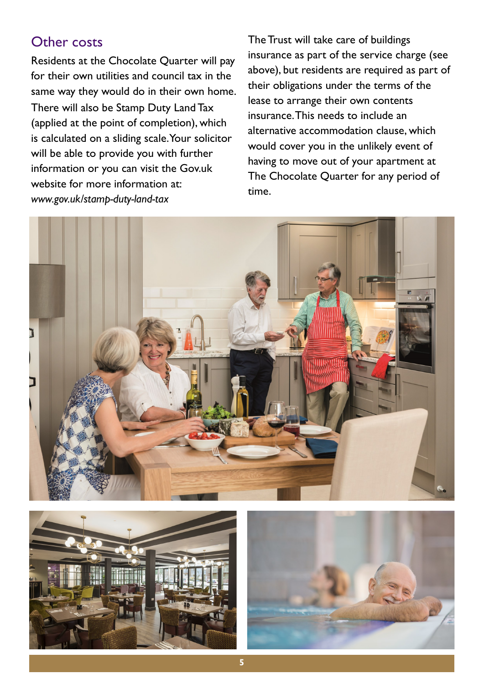#### Other costs

Residents at the Chocolate Quarter will pay for their own utilities and council tax in the same way they would do in their own home. There will also be Stamp Duty Land Tax (applied at the point of completion), which is calculated on a sliding scale. Your solicitor will be able to provide you with further information or you can visit the Gov.uk website for more information at: *www.gov.uk/stamp-duty-land-tax*

The Trust will take care of buildings insurance as part of the service charge (see above), but residents are required as part of their obligations under the terms of the lease to arrange their own contents insurance. This needs to include an alternative accommodation clause, which would cover you in the unlikely event of having to move out of your apartment at The Chocolate Quarter for any period of time.





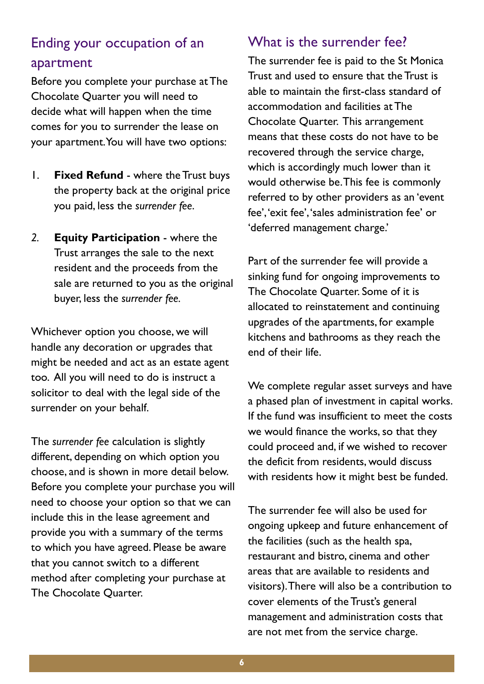# Ending your occupation of an apartment

Before you complete your purchase at The Chocolate Quarter you will need to decide what will happen when the time comes for you to surrender the lease on your apartment. You will have two options:

- 1. **Fixed Refund**  where the Trust buys the property back at the original price you paid, less the *surrender fee*.
- *2.* **Equity Participation**  where the Trust arranges the sale to the next resident and the proceeds from the sale are returned to you as the original buyer, less the *surrender fee.*

Whichever option you choose, we will handle any decoration or upgrades that might be needed and act as an estate agent too. All you will need to do is instruct a solicitor to deal with the legal side of the surrender on your behalf.

The *surrender fee* calculation is slightly different, depending on which option you choose, and is shown in more detail below. Before you complete your purchase you will need to choose your option so that we can include this in the lease agreement and provide you with a summary of the terms to which you have agreed. Please be aware that you cannot switch to a different method after completing your purchase at The Chocolate Quarter.

#### What is the surrender fee?

The surrender fee is paid to the St Monica Trust and used to ensure that the Trust is able to maintain the first-class standard of accommodation and facilities at The Chocolate Quarter. This arrangement means that these costs do not have to be recovered through the service charge, which is accordingly much lower than it would otherwise be. This fee is commonly referred to by other providers as an 'event fee', 'exit fee', 'sales administration fee' or 'deferred management charge.'

Part of the surrender fee will provide a sinking fund for ongoing improvements to The Chocolate Quarter. Some of it is allocated to reinstatement and continuing upgrades of the apartments, for example kitchens and bathrooms as they reach the end of their life.

We complete regular asset surveys and have a phased plan of investment in capital works. If the fund was insufficient to meet the costs we would finance the works, so that they could proceed and, if we wished to recover the deficit from residents, would discuss with residents how it might best be funded.

The surrender fee will also be used for ongoing upkeep and future enhancement of the facilities (such as the health spa, restaurant and bistro, cinema and other areas that are available to residents and visitors). There will also be a contribution to cover elements of the Trust's general management and administration costs that are not met from the service charge.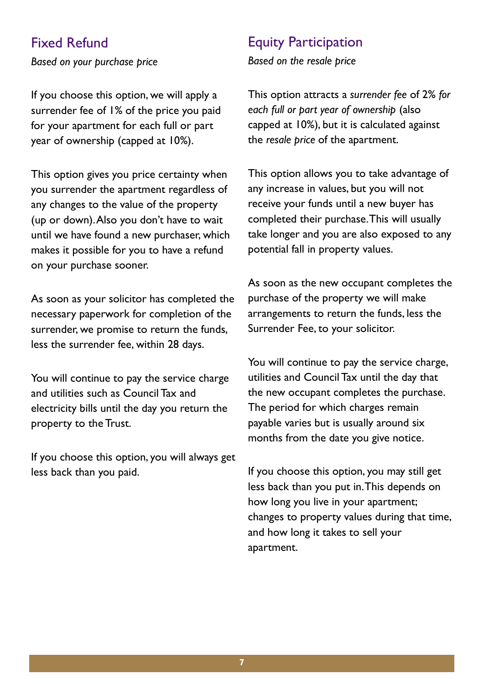#### Fixed Refund

*Based on your purchase price*

If you choose this option, we will apply a surrender fee of 1% of the price you paid for your apartment for each full or part year of ownership (capped at 10%).

This option gives you price certainty when you surrender the apartment regardless of any changes to the value of the property (up or down). Also you don't have to wait until we have found a new purchaser, which makes it possible for you to have a refund on your purchase sooner.

As soon as your solicitor has completed the necessary paperwork for completion of the surrender, we promise to return the funds, less the surrender fee, within 28 days.

You will continue to pay the service charge and utilities such as Council Tax and electricity bills until the day you return the property to the Trust.

If you choose this option, you will always get less back than you paid.

#### Equity Participation

*Based on the resale price*

This option attracts a *surrender fee* of 2% *for each full or part year of ownership* (also capped at 10%), but it is calculated against the *resale price* of the apartment.

This option allows you to take advantage of any increase in values, but you will not receive your funds until a new buyer has completed their purchase. This will usually take longer and you are also exposed to any potential fall in property values.

As soon as the new occupant completes the purchase of the property we will make arrangements to return the funds, less the Surrender Fee, to your solicitor.

You will continue to pay the service charge, utilities and Council Tax until the day that the new occupant completes the purchase. The period for which charges remain payable varies but is usually around six months from the date you give notice.

If you choose this option, you may still get less back than you put in. This depends on how long you live in your apartment; changes to property values during that time, and how long it takes to sell your apartment.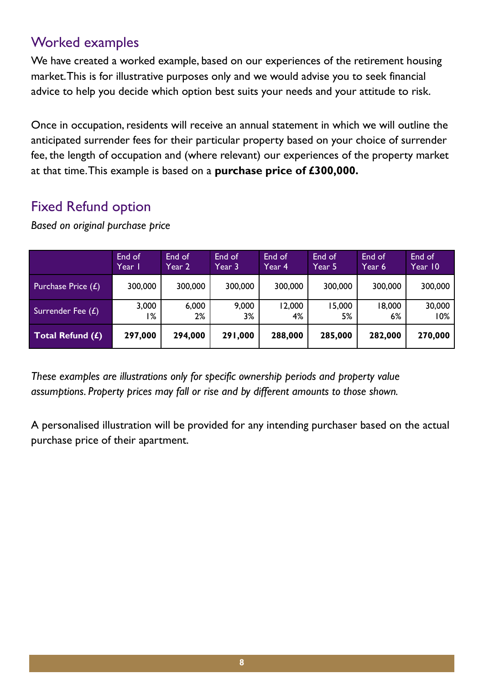### Worked examples

We have created a worked example, based on our experiences of the retirement housing market. This is for illustrative purposes only and we would advise you to seek financial advice to help you decide which option best suits your needs and your attitude to risk.

Once in occupation, residents will receive an annual statement in which we will outline the anticipated surrender fees for their particular property based on your choice of surrender fee, the length of occupation and (where relevant) our experiences of the property market at that time. This example is based on a **purchase price of £300,000.** 

### Fixed Refund option

|                                        | End of  | End of  | End of  | End of  | End of  | End of  | End of  |
|----------------------------------------|---------|---------|---------|---------|---------|---------|---------|
|                                        | Year I  | Year 2  | Year 3  | Year 4  | Year 5  | Year 6  | Year 10 |
| <b>Purchase Price <math>(E)</math></b> | 300,000 | 300,000 | 300,000 | 300,000 | 300,000 | 300,000 | 300,000 |
| Surrender Fee $(E)$                    | 3,000   | 6,000   | 9,000   | 12,000  | 15,000  | 18,000  | 30,000  |
|                                        | ا %     | 2%      | 3%      | 4%      | 5%      | 6%      | 10%     |
| Total Refund $(f)$                     | 297,000 | 294,000 | 291,000 | 288,000 | 285,000 | 282,000 | 270,000 |

*Based on original purchase price*

*These examples are illustrations only for specific ownership periods and property value assumptions. Property prices may fall or rise and by different amounts to those shown.*

A personalised illustration will be provided for any intending purchaser based on the actual purchase price of their apartment.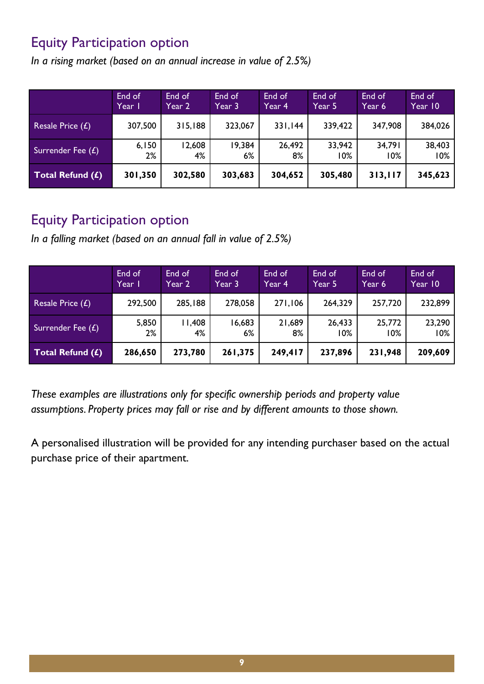### Equity Participation option

*In a rising market (based on an annual increase in value of 2.5%)*

|                     | End of  | End of  | End of  | End of  | End of  | End of  | End of  |
|---------------------|---------|---------|---------|---------|---------|---------|---------|
|                     | Year I  | Year 2  | Year 3  | Year 4  | Year 5  | Year 6  | Year 10 |
| Resale Price $(E)$  | 307,500 | 315,188 | 323,067 | 331,144 | 339,422 | 347,908 | 384,026 |
| Surrender Fee $(E)$ | 6,150   | 12,608  | 19,384  | 26,492  | 33,942  | 34,791  | 38,403  |
|                     | 2%      | 4%      | $6\%$   | 8%      | 10%     | 10%     | 10%     |
| Total Refund $(f)$  | 301,350 | 302,580 | 303,683 | 304,652 | 305,480 | 313,117 | 345,623 |

#### Equity Participation option

*In a falling market (based on an annual fall in value of 2.5%)*

|                     | End of  | End of  | End of  | End of  | End of  | End of  | End of  |
|---------------------|---------|---------|---------|---------|---------|---------|---------|
|                     | Year I  | Year 2  | Year 3  | Year 4  | Year 5  | Year 6  | Year 10 |
| Resale Price $(E)$  | 292,500 | 285,188 | 278,058 | 271,106 | 264,329 | 257,720 | 232,899 |
| Surrender Fee $(E)$ | 5,850   | 1,408   | 16,683  | 21,689  | 26,433  | 25,772  | 23,290  |
|                     | 2%      | 4%      | 6%      | 8%      | 10%     | 10%     | 10%     |
| Total Refund $(f)$  | 286,650 | 273,780 | 261,375 | 249,417 | 237,896 | 231,948 | 209,609 |

*These examples are illustrations only for specific ownership periods and property value assumptions. Property prices may fall or rise and by different amounts to those shown.*

A personalised illustration will be provided for any intending purchaser based on the actual purchase price of their apartment.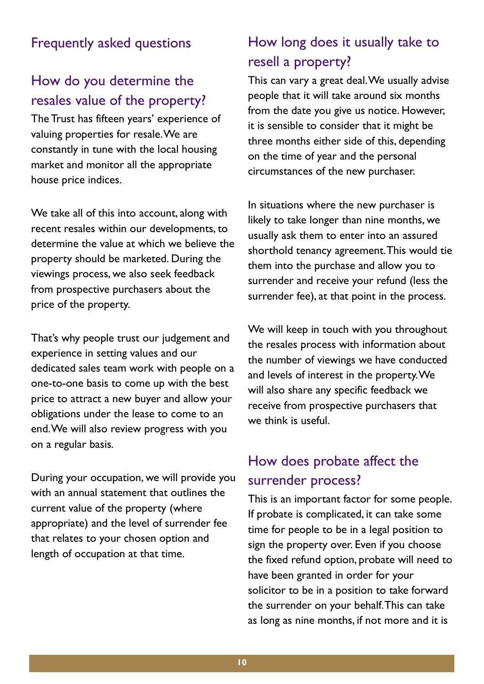#### Frequently asked questions

#### How do you determine the resales value of the property?

The Trust has fifteen years' experience of valuing properties for resale. We are constantly in tune with the local housing market and monitor all the appropriate house price indices.

We take all of this into account, along with recent resales within our developments, to determine the value at which we believe the property should be marketed. During the viewings process, we also seek feedback from prospective purchasers about the price of the property.

That's why people trust our judgement and experience in setting values and our dedicated sales team work with people on a one-to-one basis to come up with the best price to attract a new buyer and allow your obligations under the lease to come to an end. We will also review progress with you on a regular basis.

During your occupation, we will provide you with an annual statement that outlines the current value of the property (where appropriate) and the level of surrender fee that relates to your chosen option and length of occupation at that time.

# How long does it usually take to resell a property?

This can vary a great deal. We usually advise people that it will take around six months from the date you give us notice. However, it is sensible to consider that it might be three months either side of this, depending on the time of year and the personal circumstances of the new purchaser.

In situations where the new purchaser is likely to take longer than nine months, we usually ask them to enter into an assured shorthold tenancy agreement. This would tie them into the purchase and allow you to surrender and receive your refund (less the surrender fee), at that point in the process.

We will keep in touch with you throughout the resales process with information about the number of viewings we have conducted and levels of interest in the property. We will also share any specific feedback we receive from prospective purchasers that we think is useful.

### How does probate affect the surrender process?

This is an important factor for some people. If probate is complicated, it can take some time for people to be in a legal position to sign the property over. Even if you choose the fixed refund option, probate will need to have been granted in order for your solicitor to be in a position to take forward the surrender on your behalf. This can take as long as nine months, if not more and it is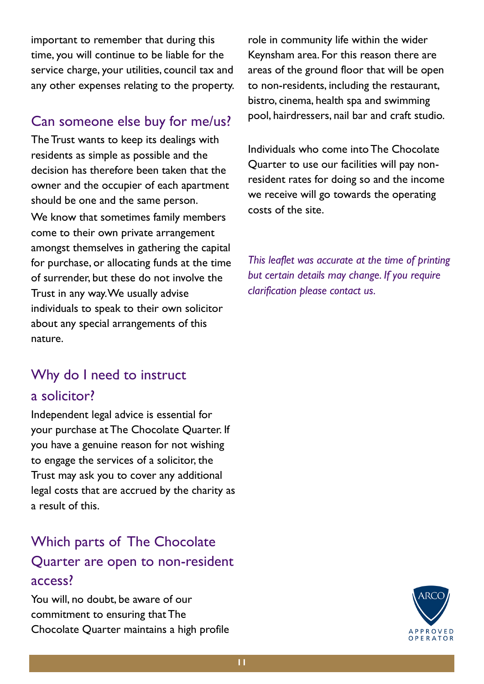important to remember that during this time, you will continue to be liable for the service charge, your utilities, council tax and any other expenses relating to the property.

#### Can someone else buy for me/us?

The Trust wants to keep its dealings with residents as simple as possible and the decision has therefore been taken that the owner and the occupier of each apartment should be one and the same person. We know that sometimes family members come to their own private arrangement amongst themselves in gathering the capital for purchase, or allocating funds at the time of surrender, but these do not involve the Trust in any way. We usually advise individuals to speak to their own solicitor about any special arrangements of this nature.

# Why do I need to instruct a solicitor?

Independent legal advice is essential for your purchase at The Chocolate Quarter. If you have a genuine reason for not wishing to engage the services of a solicitor, the Trust may ask you to cover any additional legal costs that are accrued by the charity as a result of this.

# Which parts of The Chocolate Quarter are open to non-resident access?

You will, no doubt, be aware of our commitment to ensuring that The Chocolate Quarter maintains a high profile role in community life within the wider Keynsham area. For this reason there are areas of the ground floor that will be open to non-residents, including the restaurant, bistro, cinema, health spa and swimming pool, hairdressers, nail bar and craft studio.

Individuals who come into The Chocolate Quarter to use our facilities will pay nonresident rates for doing so and the income we receive will go towards the operating costs of the site.

*This leaflet was accurate at the time of printing but certain details may change. If you require clarification please contact us.*